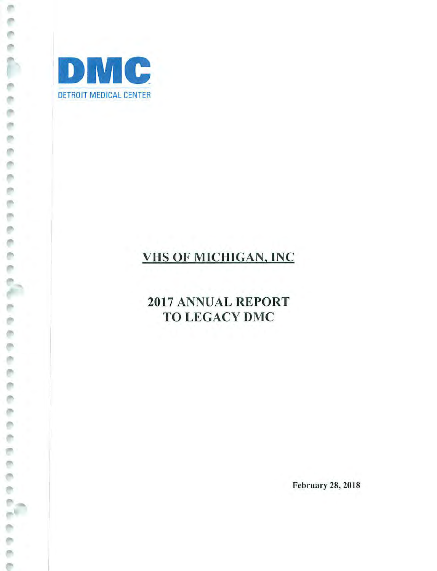

ò ø ë ó ó e

ē ø

医骨折

in me

è

e e

ē è ø ē ø ¢ Ò

š

## VHS OF MICHIGAN, INC

## 2017 ANNUAL REPORT TO LEGACY DMC

February 28, 2018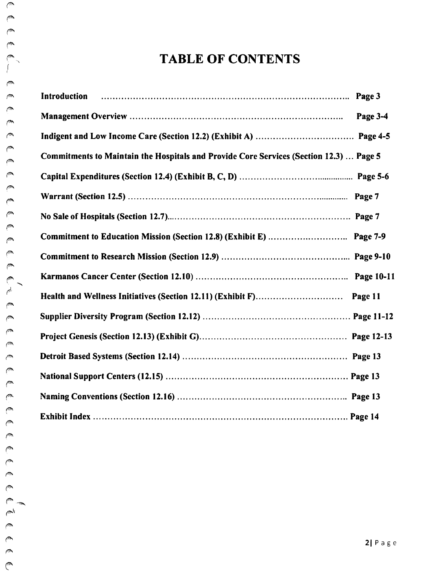## TABLE OF CONTENTS

| m                     | <b>Introduction</b>                                                                    |            |
|-----------------------|----------------------------------------------------------------------------------------|------------|
| سمائي<br>سمائي        |                                                                                        | Page 3-4   |
| سما                   |                                                                                        |            |
| س<br>سم               | Commitments to Maintain the Hospitals and Provide Core Services (Section 12.3)  Page 5 |            |
| سمس                   |                                                                                        |            |
| سما<br>پ              |                                                                                        | Page 7     |
| ‴                     |                                                                                        |            |
| سما<br>@              |                                                                                        | Page 7-9   |
| @                     |                                                                                        |            |
| سمائي<br>₾            |                                                                                        | Page 10-11 |
| الجيم                 |                                                                                        | Page 11    |
| ( <sup>ma</sup><br>سي |                                                                                        |            |
| سي                    |                                                                                        |            |
| ∕™<br>ت               |                                                                                        |            |
| ‴                     |                                                                                        |            |
| سا<br>بملاء           |                                                                                        |            |
| سيب                   |                                                                                        |            |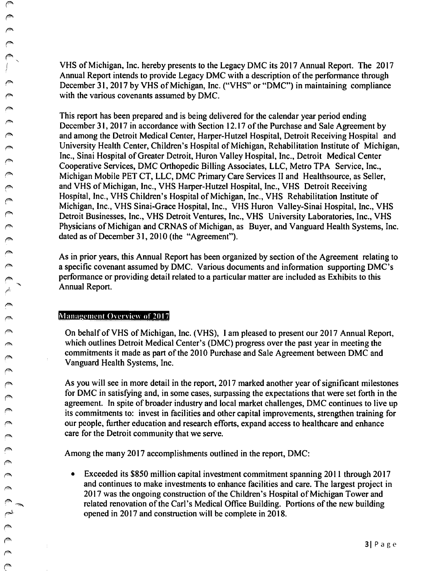VHS of Michigan, Inc. hereby presents to the Legacy DMC its 2017 Annual Report. The 2017 Annual Report intends to provide Legacy DMC with a description of the performance through December 31, 2017 by VHS of Michigan, Inc. ("VHS" or "DMC") in maintaining compliance with the various covenants assumed by DMC.

This report has been prepared and is being delivered for the calendar year period ending December 31, 2017 in accordance with Section 12.17 of the Purchase and Sale Agreement by and among the Detroit Medical Center, Harper-Hutzel Hospital, Detroit Receiving Hospital and University Health Center, Children's Hospital of Michigan, Rehabilitation Institute of Michigan, Inc., Sinai Hospital of Greater Detroit, Huron Valley Hospital, Inc., Detroit Medical Center Cooperative Services, DMC Orthopedic Billing Associates, LLC, Metro TPA Service, Inc., Michigan Mobile PET CT, LLC, DMC Primary Care Services II and Healthsource, as Seller, and VHS of Michigan, Inc., VHS Harper-Hutzel Hospital, Inc., VHS Detroit Receiving Hospital, Inc., VHS Children's Hospital of Michigan, Inc., VHS Rehabilitation Institute of Michigan, Inc., VHS Sinai-Grace Hospital, Inc., VHS Huron Valley-Sinai Hospital, Inc., VHS Detroit Businesses, Inc., VHS Detroit Ventures, Inc., VHS University Laboratories, Inc., VHS Physicians of Michigan and CRNAS of Michigan, as Buyer, and Vanguard Health Systems, Inc. dated as of December 31, 2010 (the "Agreement").

As in prior years, this Annual Report has been organized by section of the Agreement relating to a specific covenant assumed by DMC. Various documents and infonnation supporting DMC's performance or providing detail related to a particular matter are included as Exhibits to this Annual Report.

#### Management Overview of 2017

 $\begin{matrix} \bullet \\ \bullet \\ \bullet \end{matrix}$ 

r--k·  $\curvearrowright$ *("" r"'* 

حصم

 $\sqrt{2}$ 

 $\curvearrowright$ 

 $\mathbb{C}^{\infty}$ 

On behalf of VHS of Michigan, Inc. (VHS), I am pleased to present our 2017 Annual Report, which outlines Detroit Medical Center's (DMC) progress over the past year in meeting the commitments it made as part of the 2010 Purchase and Sale Agreement between DMC and Vanguard Health Systems, Inc.

As you will see in more detail in the report, 2017 marked another year of significant milestones for DMC in satisfying and, in some cases, surpassing the expectations that were set forth in the agreement. In spite of broader industry and local market challenges, DMC continues to live up its commitments to: invest in facilities and other capital improvements, strengthen training for our people, further education and research efforts, expand access to healthcare and enhance care for the Detroit community that we serve.

Among the many 2017 accomplishments outlined in the report, DMC:

• Exceeded its \$850 million capital investment commitment spanning 2011 through 2017 and continues to make investments to enhance facilities and care. The largest project in 2017 was the ongoing construction of the Children's Hospital of Michigan Tower and related renovation of the Carl's Medical Office Building. Portions of the new building opened in 2017 and construction will be complete in 2018.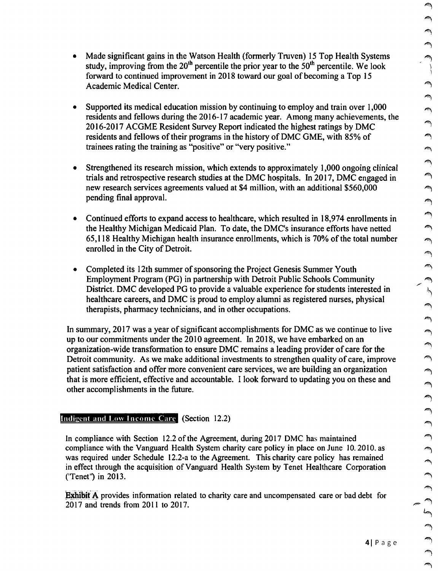- Supported its medical education mission by continuing to employ and train over 1,000 residents and fellows during the 2016-17 academic year. Among many achievements, the 2016-2017 ACGME Resident Survey Report indicated the highest ratings by DMC residents and fellows of their programs in the history of DMC GME, with 85% of trainees rating the training as "positive" or "very positive."
- Strengthened its research mission, which extends to approximately 1,000 ongoing clinical trials and retrospective research studies at the DMC hospitals. In 2017, DMC engaged in new research services agreements valued at \$4 million, with an additional \$560,000 pending final approval.
- Continued efforts to expand access to healthcare, which resulted in 18,974 enrollments in the Healthy Michigan Medicaid Plan. To date, the DMC's insurance efforts have netted  $65,118$  Healthy Michigan health insurance enrollments, which is 70% of the total number enrolled in the City of Detroit.
- Completed its 12th summer of sponsoring the Project Genesis Summer Youth Employment Program (PG) in partnership with Detroit Public Schools Community District. DMC developed PG to provide a valuable experience for students interested in healthcare careers, and DMC is proud to employ alumni as registered nurses, physical therapists, pharmacy technicians, and in other occupations.

In summary, 2017 was a year of significant accomplishments for DMC as we continue to live up to our commitments under the 2010 agreement. In 2018, we have embarked on an organization-wide transformation to ensure DMC remains a leading provider of care for the Detroit community. As we make additional investments to strengthen quality of care, improve patient satisfaction and offer more convenient care services, we are building an organization that is more efficient, effective and accountable. I look forward to updating you on these and other accomplishments in the future.

## Indigent and Low Income Care (Section 12.2)

In compliance with Section 12.2 of the Agreement, during 2017 DMC has maintained compliance with the Vanguard Health System charity care policy in place on June 10. 2010. as was required under Schedule 12.2-a to the Agreement. This charity care policy has remained in effect through the acquisition ofVanguard Health System by Tenet Healthcare Corporation ('Tenet') in 2013.

**Exhibit A** provides information related to charity care and uncompensated care or bad debt for 2017 and trends from 2011 to 2017.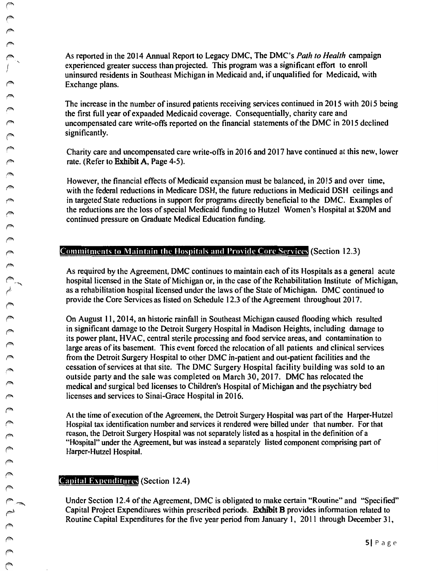$\forall x$ rm..  $\curvearrowright$ 

 $\sqrt{2}$ 

← <del>ヘックス</del>

As reported in the 2014 Annual Report to Legacy DMC, The DMC's *Path to Health* campaign uninsured residents in Southeast Michigan in Medicaid and, if unqualified for Medicaid, with Exchange plans.

The increase in the number of insured patients receiving services continued in 2015 with 2015 being the first full year of expanded Medicaid coverage. Consequentially, charity care and uncompensated care write-offs reported on the financial statements ofthe DMC in 2015 declined significantly.

Charity care and uncompensated care write-offs in 2016 and 2017 have continued at this new, lower rate. (Refer to **Exhibit A,** Page 4-5).

However, the financial effects of Medicaid expansion must be balanced, in 2015 and over time, with the federal reductions in Medicare DSH, the future reductions in Medicaid DSH ceilings and in targeted State reductions in support for programs directly beneficial to the DMC. Examples of the reductions are the loss of special Medicaid funding to Hutzel Women's Hospital at \$20M and continued pressure on Graduate Medical Education funding.

## **Commitments to Maintain the Hospitals and Provide Core Services (Section 12.3)**

As required by the Agreement, DMC continues to maintain each ofits Hospitals as a general acute hospital licensed in the State of Michigan or, in the case of the Rehabilitation Institute of Michigan, as a rehabilitation hospital licensed under the laws of the State of Michigan. DMC continued to provide the Core Services as listed on Schedule 12.3 of the Agreement throughout 2017.

On August 11, 2014, an historic rainfall in Southeast Michigan caused flooding which resulted in significant damage to the Detroit Surgery Hospital in Madison Heights, including damage to its power plant, HVAC, central sterile processing and food service areas, and contamination to large areas of its basement. This event forced the relocation of all patients and clinical services from the Detroit Surgery Hospital to other DMC in-patient and out-patient facilities and the cessation ofservices at that site. The DMC Surgery Hospital facility building was sold to an outside party and the sale was completed on March 30, 2017. DMC has relocated the medical and surgical bed licenses to Children's Hospital of Michigan and the psychiatry bed licenses and services to Sinai-Grace Hospital in 2016.

At the time ofexecution ofthe Agreement, the Detroit Surgery Hospital was part of the Harper-Hutzel Hospital tax identification number and services it rendered were billed under that number. For that reason, the Detroit Surgery Hospital was not separately listed as a hospital in the definition of a "Hospital" under the Agreement, but was instead a separately listed component comprising part of *(/"* Harper-Hutzel Hospital.

## Capital Expenditures (Section 12.4)

Under Section 12.4 of the Agreement, DMC is obligated to make certain "Routine" and "Specified"<br>Capital Project Expenditures within prescribed periods. **Exhibit B** provides information related to<br>Routine Capital Expenditur Capital Project Expenditures within prescribed periods. **Exhibit B** provides information related to Routine Capital Expenditures for the five year period from January l, 2011 through December 31, <sup>~</sup>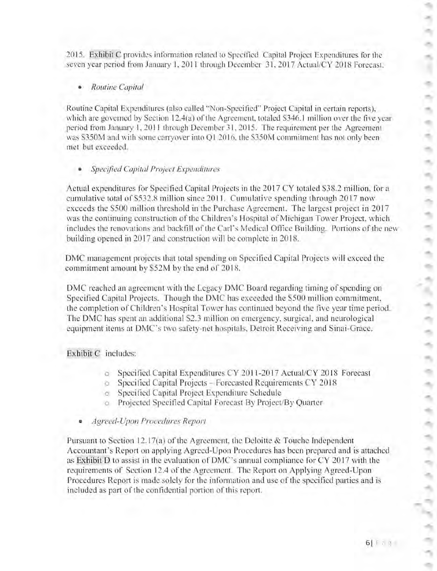2015. Exhibit C provides in formation related to Specified Capital Project Expenditures for the seven year period from January 1, 2011 through December 31, 2017 Actual/CY 2018 Forecast.

• *Routine Capital* 

Routine Capital Expenditures (also called "Non-Specified" Project Capital in certain reports), which are governed by Section 12.4(a) of the Agreement, totaled  $$346.1$  million over the five year period from January I. 20 I I through December 3I.2015. The requirement per the Agreement was S350M and with some canyover into QI 2016, the S350M commitment has not only been met but exceeded.

#### **Specified Capital Project Expenditures**

Actual expenditures for Specified Capital Projects in the 2017 CY totaled \$38.2 million, for a cumulative total of \$532.8 million since 2011. Cumulative spending through 2017 now exceeds the \$500 million threshold in the Purchase Agreement. The largest project in 2017 was the continuing construction of the Children's Hospital of Michigan Tower Project, which includes the renovations and backfill of the Carl's Medical Office Building. Portions of the new building opened in 2017 and construction will be complete in 2018.

DMC management projects that total spending on Specified Capital Projects will exceed the commitment amount by \$52M by the end of 2018.

DMC reached an agreement with the Legacy DMC Board regarding timing of spending on Specified Capital Projects. Though the DMC has exceeded the \$500 million commitment, the completion of Children's Hospital Tower has continued beyond the five year time period. The DMC has spent an additional S2.3 million on emergency. surgical. and neurological equipment items at DMC's two safety-net hospitals. Detroit Receiving and Sinai-Grace.

#### Exhibit C includes:

- o Specified Capital Expenditures CY 2011-2017 Actual/CY 2018 Forecast
- o Speci ficd Capital Projects Forecasred Requirements CY 20 18
- $\circ$  Specified Capital Project Expenditure Schedule
- o Projected Specified Capital Forecast By Project/By Quarter
- *Agreed-Upon Procedures Report*

Pursuant to Section 12.17(a) of the Agreement, the Deloitte & Touche Independent Accountant's Report on applying Agreed-Upon Procedures has been prepared and is attached as Exhibit D to assist in the evaluation of DMC's annual compliance for CY 2017 with the requirements of Section 12.4 of the Agreement. The Report on Applying Agreed-Upon Procedures Report is made solely for the information and use of the specified parties and is included as part of the confidential portion of this report.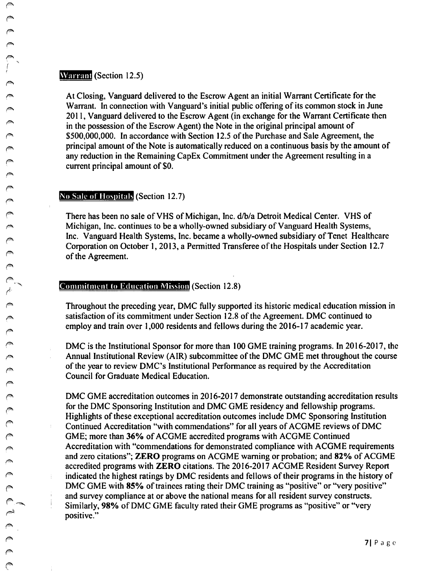#### **Warrant** (Section 12.5)

At Closing, Vanguard delivered to the Escrow Agent an initial Warrant Certificate for the Warrant. In connection with Vanguard's initial public offering of its common stock in June 2011, Vanguard delivered to the Escrow Agent (in exchange for the Warrant Certificate then in the possession of the Escrow Agent) the Note in the original principal amount of \$500,000,000. In accordance with Section 12.5 ofthe Purchase and Sale Agreement, the principal amount ofthe Note is automatically reduced on a continuous basis by the amount of any reduction in the Remaining CapEx Commitment under the Agreement resulting in a current principal amount of \$0.

#### No Sale of Hospitals (Section 12.7)

There has been no sale of VHS of Michigan, Inc. d/b/a Detroit Medical Center. VHS of Michigan, Inc. continues to be a wholly-owned subsidiary of Vanguard Health Systems, Inc. Vanguard Health Systems, Inc. became a wholly-owned subsidiary of Tenet Healthcare Corporation on October 1, 2013, a Permitted Transferee of the Hospitals under Section 12.7 of the Agreement.

#### **Commitment to Education Mission (Section 12.8)**

Throughout the preceding year, DMC fully supported its historic medical education mission in satisfaction of its commitment under Section 12.8 of the Agreement. DMC continued to employ and train over 1,000 residents and fellows during the 2016-17 academic year.

DMC is the Institutional Sponsor for more than 100 GME training programs. In 2016-2017, the Annual Institutional Review (AIR) subcommittee of the DMC GME met throughout the course of the year to review DMC's Institutional Performance as required by the Accreditation Council for Graduate Medical Education.

DMC GME accreditation outcomes in 2016-2017 demonstrate outstanding accreditation results for the DMC Sponsoring Institution and DMC GME residency and fellowship programs.<br>Highlights of these exceptional accreditation outcomes include DMC Sponsoring Institution Continued Accreditation "with commendations" for all years of ACGME reviews of DMC GME; more than 36% of ACGME accredited programs with ACGME Continued Accreditation with "commendations for demonstrated compliance with ACGME requirements and zero citations"; **ZERO** programs on ACGME warning or probation; and 82% of ACGME accredited programs with **ZERO** citations. The 2016-2017 ACGME Resident Survey Report indicated the highest ratings by DMC residents and fellows of their programs in the history of DMC GME with 85% of trainees rating their DMC training as "positive" or "very positive" and survey compliance at or above the national means for all resident survey constructs. Similarly, 98% of DMC GME faculty rated their GME programs as "positive" or "very positive."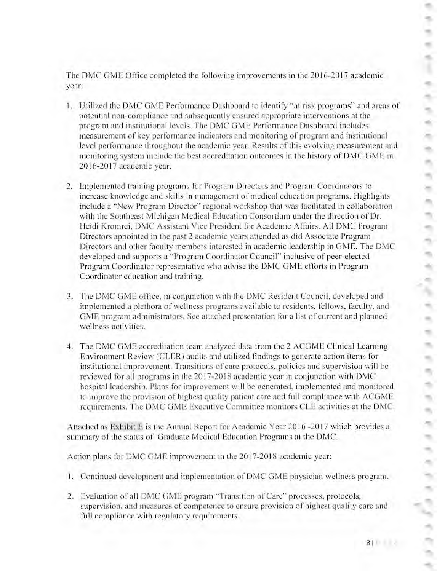The DMC GME Office completed the following improvements in the 2016-2017 academic year:

- 1. Utilized the DMC GME Performance Dashboard to identify "at risk programs" and areas of potential non-compliance and subsequently ensured appropriate interventions ar the program and institutional levels. The DMC GME Performance Dashboard includes measurement or key performance indicators and monitoring or program and insrinitional level performance throughout the academic year. Results of this evolving measurement and monitoring system include the best accreditation outcomes in the history of DMC GME in 2016-2017 academic year.
- 2. Implemented training programs for Program Directors and Program Coordinators to increase knowledge and skills in management of medical education programs. Highlights include a "New Program Director" regional workshop that was facilitated in collaboration with the Southeast Michigan Medical Education Consortium under the direction of Dr. Heidi Kromrei. DMC Assistant Vice President for Academic Affairs. All DMC Program Directors appointed in the past 2 academic years attended as did Associate Program Directors and other faculty members interested in academic leadership in GME. The DMC developed and supports a "Program Coordinator Council" inclusive of peer-elected Program Coordinator representative who advise the DMC GME efforts in Program Coordinator education and training.
- 3. The DMC GME office, in conjunction with the DMC Resident Council, developed and implemented a plethora of wellness programs available to residents, fellows, faculty, and GME program administrarors. Sec attached presentation for a list of current and planned wellness activities.
- 4. The DMC GME accreditation team analyzed data from the 2 ACG ME Clinical Learning Environment Review (CLER) audits and utilized findings to generate action items for institutional improvement. Transitions of care protocols, policies and supervision will be reviewed for all programs in the 2017-2018 academic year in conjunction with DMC hospital leadership. Plans for improvement will be generated. implememed and monitored to improve the provision of highest quality patient care and full compliance with ACGME requiremems. The DMC GME Executive Committee monitors CLE activities at the DMC.

Attached as Exhibit E is the Annual Report for Academic Year 2016 -2017 which provides a summary of the status of Graduate Medical Education Programs at the DMC.

Action plans for DMC GME improvement in the 2017-2018 academic year:

- l. Continued development and implementation of DMC GME physician wellness program.
- 2. Evaluation of all DMC GME program "Transition of Care" processes, protocols, supervision. and measures of competence 10 ensure provision of highest quality care and full compliance with regulatory requirements.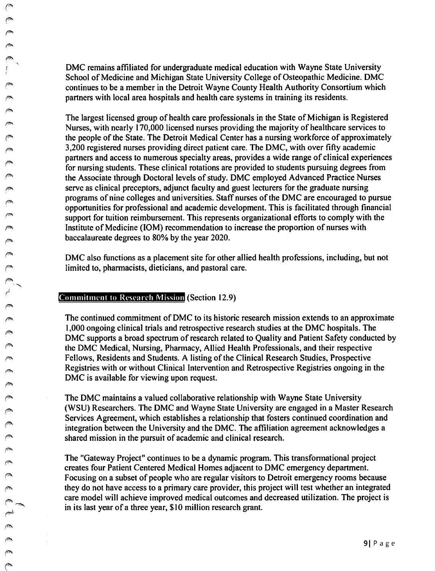DMC remains affiliated for undergraduate medical education with Wayne State University School of Medicine and Michigan State University College of Osteopathic Medicine. DMC continues to be a member in the Detroit Wayne County Health Authority Consortium which partners with local area hospitals and health care systems in training its residents.

The largest licensed group of health care professionals in the State of Michigan is Registered Nurses, with nearly 170,000 licensed nurses providing the majority of healthcare services to the people of the State. The Detroit Medical Center has a nursing workforce of approximately 3,200 registered nurses providing direct patient care. The DMC, with over fifty academic partners and access to numerous specialty areas, provides a wide range of clinical experiences for nursing students. These clinical rotations are provided to students pursuing degrees from the Associate through Doctoral levels of study. DMC employed Advanced Practice Nurses serve as clinical preceptors, adjunct faculty and guest lecturers for the graduate nursing programs of nine colleges and universities. Staff nurses of the DMC are encouraged to pursue opportunities for professional and academic development. This is facilitated through financial support for tuition reimbursement. This represents organizational efforts to comply with the Institute of Medicine (IOM) recommendation to increase the proportion of nurses with baccalaureate degrees to 80% by the year 2020.

DMC also functions as a placement site for other allied health professions, including, but not limited to, pharmacists, dieticians, and pastoral care.

## Commitment to Research Mission (Section 12.9)

I

المجم

~

 $\mathscr{P}^{\bullet}$ ("" f"'- *('"'*  ~ '

> The continued commitment of DMC to its historic research mission extends to an approximate 1,000 ongoing clinical trials and retrospective research studies at the DMC hospitals. The DMC supports a broad spectrum of research related to Quality and Patient Safety conducted by the DMC Medical, Nursing, Pharmacy, Allied Health Professionals, and their respective Fellows, Residents and Students. A listing of the Clinical Research Studies, Prospective Registries with or without Clinical Intervention and Retrospective Registries ongoing in the DMC is available for viewing upon request.

> The DMC maintains a valued collaborative relationship with Wayne State University (WSU) Researchers. The DMC and Wayne State University are engaged in a Master Research Services Agreement, which establishes a relationship that fosters continued coordination and integration between the University and the DMC. The affiliation agreement acknowledges a shared mission in the pursuit of academic and clinical research.

> The "Gateway Project" continues to be a dynamic program. This transformational project creates four Patient Centered Medical Homes adjacent to DMC emergency department. Focusing on a subset of people who are regular visitors to Detroit emergency rooms because they do not have access to a primary care provider, this project will test whether an integrated care model will achieve improved medical outcomes and decreased utilization. The project is in its last year of a three year, \$10 million research grant.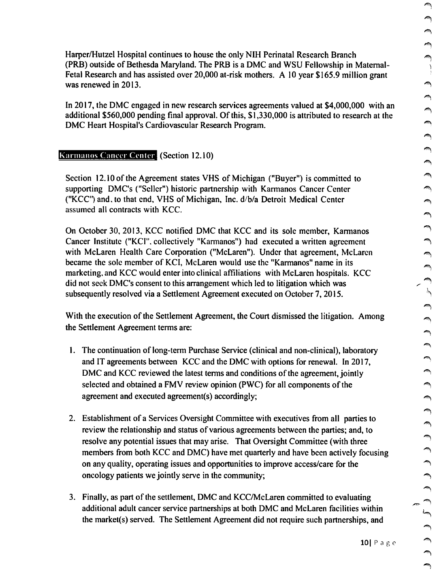Harper/Hutzel Hospital continues to house the only NIH Perinatal Research Branch (PRB) outside of Bethesda Maryland. The PRB is a DMC and WSU Fellowship in Maternal-Fetal Research and has assisted over 20,000 at-risk mothers. A 10 year \$165.9 million grant was renewed in 2013.

In 2017, the DMC engaged in new research services agreements valued at \$4,000,000 with an additional \$560,000 pending final approval. Of this, \$1,330,000 is attributed to research at the DMC Heart Hospital's Cardiovascular Research Program.

### Karmanos Cancer Center (Section 12.10)

Section 12.10 of the Agreement states VHS of Michigan ("Buyer") is committed to supporting DMC's ("Seller") historic partnership with Karmanos Cancer Center ("KCC'1 and, to that end, VHS of Michigan, Inc. d/b/a Detroit Medical Center assumed all contracts with KCC.

On October 30, 2013, KCC notified DMC that KCC and its sole member, Karmanos Cancer Institute ("KCI", collectively "Karmanos") had executed a written agreement with McLaren Health Care Corporation ("McLaren"). Under that agreement, McLaren became the sole member of KCI, McLaren would use the "Karmanos" name in its marketing, and KCC would enter into clinical affiliations with McLaren hospitals. KCC did not seek DMC's consent to this arrangement which led to litigation which was subsequently resolved via a Settlement Agreement executed on October 7, 2015.

With the execution of the Settlement Agreement, the Court dismissed the litigation. Among the Settlement Agreement terms are:

- I. The continuation of long-term Purchase Service (clinical and non-clinical), laboratory and IT agreements between KCC and the DMC with options for renewal. In 2017, DMC and KCC reviewed the latest terms and conditions of the agreement, jointly selected and obtained a FMV review opinion (PWC) for all components of the agreement and executed agreement(s) accordingly;
- 2. Establishment of a Services Oversight Committee with executives from all parties to review the relationship and status of various agreements between the parties; and, to resolve any potential issues that may arise. That Oversight Committee (with three members from both KCC and DMC) have met quarterly and have been actively focusing on any quality, operating issues and opportunities to improve access/care for the oncology patients we jointly serve in the community; ~
- 3. Finally, as part of the settlement, DMC and KCC/McLaren committed to evaluating additional adult cancer service partnerships at both DMC and McLaren facilities within the market(s) served. The Settlement Agreement did not require such partnerships, and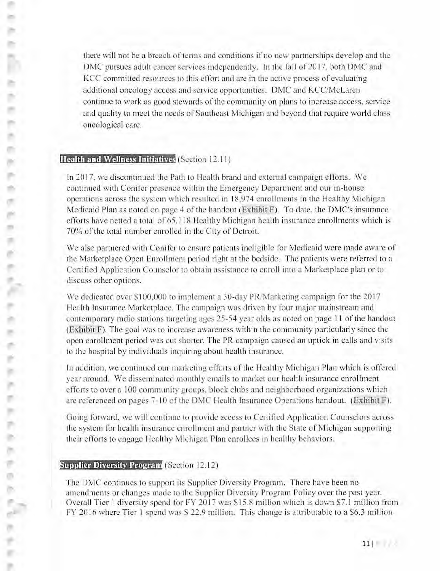there will nor be a breach or terms and conditions if no new partnerships develop and the DMC pursues adult cancer services independently. In the fall of 2017, both DMC and KCC comrnirted resources to this effon and are in the active process of evaluating additional oncology access and service opportunities. DMC and KCC/McLaren continue to work as good stewards of the community on plans to increase access, service and quality to meet the needs of Southeast Michigan and beyond that require world class oncological care.

## **Health and Wellness Initiatives** (Section 12.1 1)

e.

ö.

ac i an -

ை

In 2017, we discontinued the Path to Health brand and external campaign efforts. We continued with Conifer presence within the Emergency Department and our in-house operations across the system which resulted in 18,974 enrollments in the Healthy Michigan Medicaid Plan as noted on page 4 of the handout *(Exhibit F)*. To date, the DMC's insurance efforts have netted a total of 65, 118 Healthy Michigan health insurance enrollments which is 70% of the total number enrolled in the City of Detroit.

We also partnered with Conifer to ensure patients ineligible for Medicaid were made aware of the Marketplace Open Enrollment period right at the bedside. The patients were referred to a Certified Application Counselor to obtain assistance to enroll into a Marketplace plan or to discuss other options.

We dedicated over \$100,000 to implement a 30-day PR/Marketing campaign for the 2017 Health Insurance Marketplace. The campaign was driven by four major mainstream and contemporary radio stations targeting ages 25-54 year olds as noted on page 11 of the handout  $(Exhibit F)$ . The goal was to increase awareness within the community particularly since the open enrollment period was cut shorter. The PR campaign caused an uptick in calls and visits to the hospital by individuals inquiring about health insurance.

In addition. we continued our marketing efforts of the Healthy Michigan Plan which is offered year around. We disseminated monthly emails to market our health insurance enrollment efforts to over a l 00 community groups, block clubs and neighborhood organizations which arc referenced on pages 7- 10 of the DMC Health Insurance Operations handout. (Exhibit F).

Going forward, we will continue 10 provide access to Certified Application Counselors across the system for health insurance enroll ment and partner with the State of Michigan supporting their efforrs to engage Healthy Michigan Plan enrollees in healthy behaviors.

## **Supplier Diversity Program (Section 12.12)**

The DMC continues to support its Supplier Diversity Program. There have been no amendments or changes made to the Supplier Diversity Program Policy over the past year. Overall Tier 1 diversity spend for FY 2017 was \$15.8 million which is down \$7.1 million from FY 20 16 where Tier l spend was S 22.9 million. This change is attributable to a S6.3 million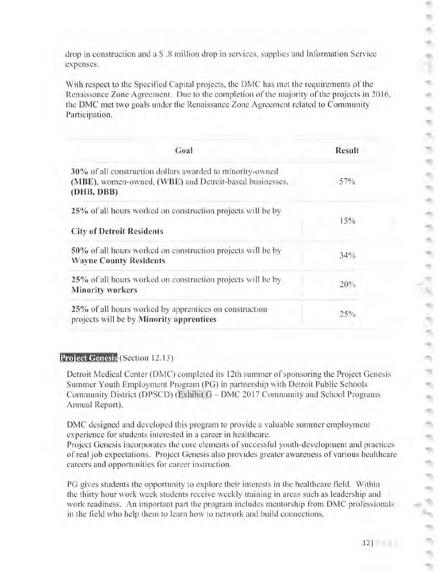drop in construction and a S .8 million drop in services, supplies and Information Service expenses.

With respect to the Specified Capital projects, the DMC has met the requirements of the Renaissance Zone Agreement. Due to the completion of the majority of the projects in 20 16, the DMC met two goals under the Renaissance Zone Agreement related to Community Participation.

| Goal                                                                                                                               | Result |
|------------------------------------------------------------------------------------------------------------------------------------|--------|
| 30% of all construction dollars awarded to minority-owned<br>(MBE), women-owned, (WBE) and Detroit-based businesses.<br>(DHB, DBB) | $57\%$ |
| 25% of all hours worked on construction projects will be by<br><b>City of Detroit Residents</b>                                    | 15%    |
| 50% of all hours worked on construction projects will be by<br><b>Wayne County Residents</b>                                       | 34%    |
| 25% of all hours worked on construction projects will be by<br><b>Minority workers</b>                                             | 20%    |
| 25% of all hours worked by apprentices on construction<br>projects will be by Minority apprentices                                 | 25%    |

## **Project Genesis** (Section 12.13)

Detroit Medical Center (DMC) completed its 12th summer of sponsoring the Project Genesis Summer Youth Employment Program (PG) in partnership with Detroit Public Schools Community District (DPSCD) (Exhibit G - DMC 2017 Community and School Programs Annual Report).

DMC designed and developed this program to provide a valuable summer employment experience for students interested in a career in healthcare.

Project Genesis incorporates the core elements of successful youth-development and practices or real job expectations. Project Genesis also provides greater awareness of various healthcare careers and opportunities for career instruction.

PG gives students the opportunity to explore their interests in the healthcare field. Within the thirry hour work week students receive weekly training in areas such as leadership and work readiness. An important part the program includes mcntorship from DMC professionals in the field who help them to learn how to network and build connections.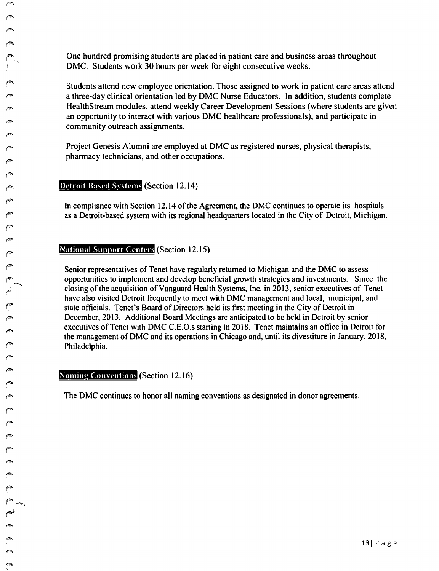One hundred promising students are placed in patient care and business areas throughout DMC. Students work 30 hours per week for eight consecutive weeks.

Students attend new employee orientation. Those assigned to work in patient care areas attend a three-day clinical orientation led by DMC Nurse Educators. In addition, students complete HealthStream modules, attend weekly Career Development Sessions (where students are given an opportunity to interact with various DMC healthcare professionals), and participate in community outreach assignments.

Project Genesis Alumni are employed at DMC as registered nurses, physical therapists, pharmacy technicians, and other occupations.

Detroit Based Svstcms (Section 12.14)

In compliance with Section 12.14 of the Agreement, the DMC continues to operate its hospitals as a Detroit-based system with its regional headquarters located in the City of Detroit, Michigan.

#### National Support Centers (Section 12.15)

Senior representatives of Tenet have regularly returned to Michigan and the DMC to assess opportunities to implement and develop beneficial growth strategies and investments. Since the closing of the acquisition ofVanguard Health Systems, Inc. in 2013, senior executives of Tenet have also visited Detroit frequently to meet with DMC management and local, municipal, and state officials. Tenet's Board of Directors held its first meeting in the City of Detroit in December, 2013. Additional Board Meetings arc anticipated to be held in Detroit by senior executives of Tenet with DMC C.E.O.s starting in 2018. Tenet maintains an office in Detroit for the management of DMC and its operations in Chicago and, until its divestiture in January, 2018, Philadelphia.

Naming Conventions (Section 12.16)

The DMC continues to honor all naming conventions as designated in donor agreements.

 $\mathbb{L}$